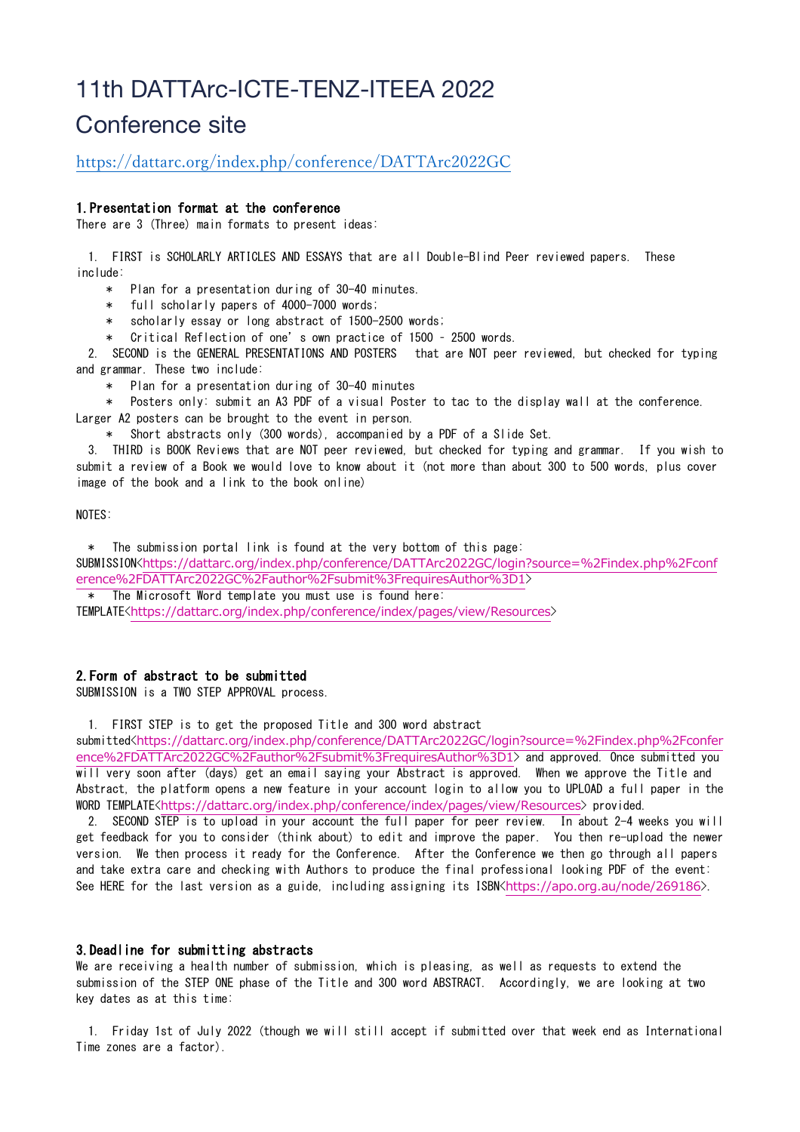# 11th DATTArc-ICTE-TENZ-ITEEA 2022 Conference site

# https://dattarc.org/index.php/conference/DATTArc2022GC

## 1.Presentation format at the conference

There are 3 (Three) main formats to present ideas:

 1. FIRST is SCHOLARLY ARTICLES AND ESSAYS that are all Double-Blind Peer reviewed papers. These include:

\* Plan for a presentation during of 30-40 minutes.

- \* full scholarly papers of 4000-7000 words;
- scholarly essay or long abstract of  $1500-2500$  words;
- Critical Reflection of one's own practice of 1500 2500 words.

 2. SECOND is the GENERAL PRESENTATIONS AND POSTERS that are NOT peer reviewed, but checked for typing and grammar. These two include:

\* Plan for a presentation during of 30-40 minutes

Posters only: submit an A3 PDF of a visual Poster to tac to the display wall at the conference. Larger A2 posters can be brought to the event in person.

\* Short abstracts only (300 words), accompanied by a PDF of a Slide Set.

 3. THIRD is BOOK Reviews that are NOT peer reviewed, but checked for typing and grammar. If you wish to submit a review of a Book we would love to know about it (not more than about 300 to 500 words, plus cover image of the book and a link to the book online)

NOTES:

\* The submission portal link is found at the very bottom of this page:

SUBMISSION<https://dattarc.org/index.php/conference/DATTArc2022GC/login?source=%2Findex.php%2Fconf erence%2FDATTArc2022GC%2Fauthor%2Fsubmit%3FrequiresAuthor%3D1>

 \* The Microsoft Word template you must use is found here: TEMPLATE<https://dattarc.org/index.php/conference/index/pages/view/Resources>

# 2.Form of abstract to be submitted

SUBMISSION is a TWO STEP APPROVAL process.

1. FIRST STEP is to get the proposed Title and 300 word abstract

submitted<https://dattarc.org/index.php/conference/DATTArc2022GC/login?source=%2Findex.php%2Fconfer ence%2FDATTArc2022GC%2Fauthor%2Fsubmit%3FrequiresAuthor%3D1> and approved. Once submitted you will very soon after (days) get an email saying your Abstract is approved. When we approve the Title and Abstract, the platform opens a new feature in your account login to allow you to UPLOAD a full paper in the WORD TEMPLATE<https://dattarc.org/index.php/conference/index/pages/view/Resources> provided.

 2. SECOND STEP is to upload in your account the full paper for peer review. In about 2-4 weeks you will get feedback for you to consider (think about) to edit and improve the paper. You then re-upload the newer version. We then process it ready for the Conference. After the Conference we then go through all papers and take extra care and checking with Authors to produce the final professional looking PDF of the event: See HERE for the last version as a guide, including assigning its ISBN<https://apo.org.au/node/269186>.

#### 3.Deadline for submitting abstracts

We are receiving a health number of submission, which is pleasing, as well as requests to extend the submission of the STEP ONE phase of the Title and 300 word ABSTRACT. Accordingly, we are looking at two key dates as at this time:

 1. Friday 1st of July 2022 (though we will still accept if submitted over that week end as International Time zones are a factor).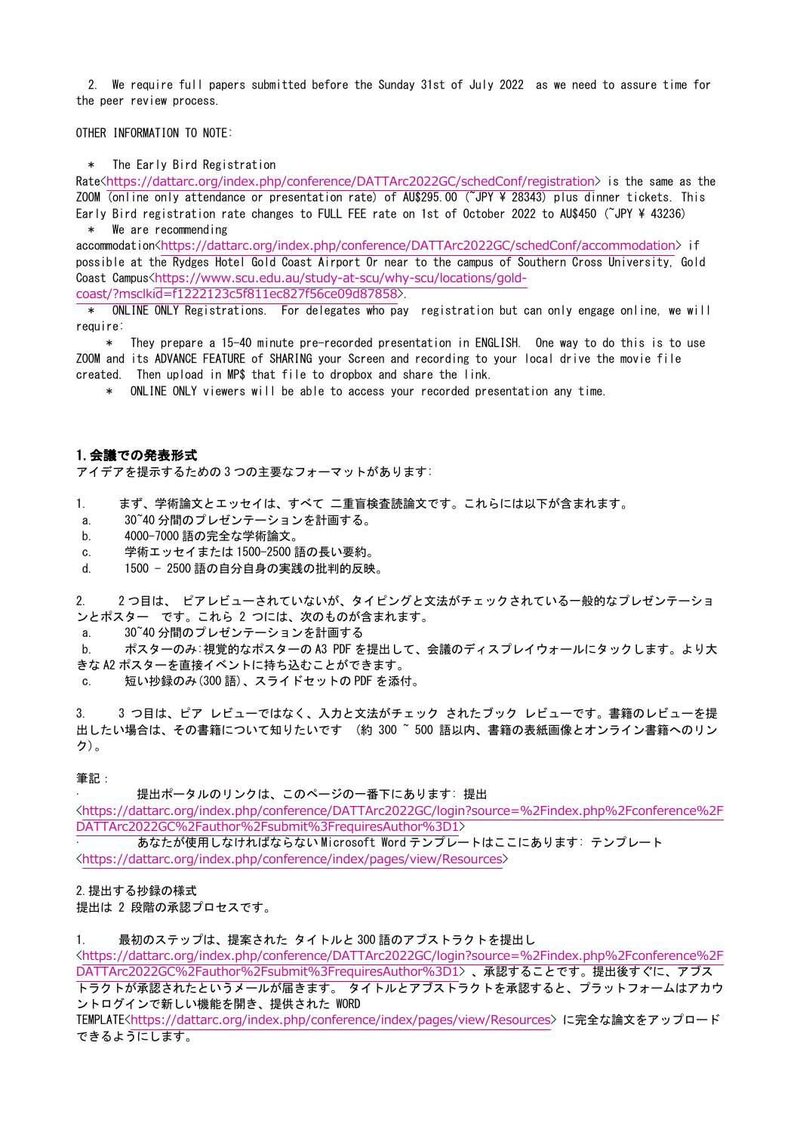2. We require full papers submitted before the Sunday 31st of July 2022 as we need to assure time for the peer review process.

OTHER INFORMATION TO NOTE:

\* The Early Bird Registration

Rate<https://dattarc.org/index.php/conference/DATTArc2022GC/schedConf/registration> is the same as the ZOOM (online only attendance or presentation rate) of AU\$295.00 (~JPY ¥ 28343) plus dinner tickets. This Early Bird registration rate changes to FULL FEE rate on 1st of October 2022 to AU\$450 (~JPY ¥ 43236) \* We are recommending

accommodation<https://dattarc.org/index.php/conference/DATTArc2022GC/schedConf/accommodation> if possible at the Rydges Hotel Gold Coast Airport Or near to the campus of Southern Cross University, Gold Coast Campus<https://www.scu.edu.au/study-at-scu/why-scu/locations/gold-

coast/?msclkid=f1222123c5f811ec827f56ce09d87858>.

 \* ONLINE ONLY Registrations. For delegates who pay registration but can only engage online, we will require:

 \* They prepare a 15-40 minute pre-recorded presentation in ENGLISH. One way to do this is to use ZOOM and its ADVANCE FEATURE of SHARING your Screen and recording to your local drive the movie file created. Then upload in MP\$ that file to dropbox and share the link.

\* ONLINE ONLY viewers will be able to access your recorded presentation any time.

### 1.会議での発表形式

アイデアを提示するための 3 つの主要なフォーマットがあります:

- 1. まず、学術論文とエッセイは、すべて 二重盲検査読論文です。これらには以下が含まれます。
- a. 30~40 分間のプレゼンテーションを計画する。
- b. 4000-7000 語の完全な学術論文。
- c. 学術エッセイまたは 1500-2500 語の長い要約。
- d. 1500 2500 語の自分自身の実践の批判的反映。

2. 2 つ目は、 ピアレビューされていないが、タイピングと文法がチェックされている一般的なプレゼンテーショ ンとポスター です。これら 2 つには、次のものが含まれます。

a. 30~40 分間のプレゼンテーションを計画する

b. ポスターのみ:視覚的なポスターの A3 PDF を提出して、会議のディスプレイウォールにタックします。より大 きな A2 ポスターを直接イベントに持ち込むことができます。

短い抄録のみ(300 語)、スライドセットの PDF を添付。

3. 3 つ目は、ピア レビューではなく、入力と文法がチェック されたブック レビューです。書籍のレビューを提 出したい場合は、その書籍について知りたいです (約 300 ~ 500 語以内、書籍の表紙画像とオンライン書籍へのリン ク)。

筆記:

提出ポータルのリンクは、このページの一番下にあります: 提出

<https://dattarc.org/index.php/conference/DATTArc2022GC/login?source=%2Findex.php%2Fconference%2F DATTArc2022GC%2Fauthor%2Fsubmit%3FrequiresAuthor%3D1>

· あなたが使用しなければならない Microsoft Word テンプレートはここにあります: テンプレート <https://dattarc.org/index.php/conference/index/pages/view/Resources>

#### 2.提出する抄録の様式

提出は 2 段階の承認プロセスです。

1. 最初のステップは、提案された タイトルと 300 語のアブストラクトを提出し

<https://dattarc.org/index.php/conference/DATTArc2022GC/login?source=%2Findex.php%2Fconference%2F DATTArc2022GC%2Fauthor%2Fsubmit%3FrequiresAuthor%3D1> 、承認することです。提出後すぐに、アブス

トラクトが承認されたというメールが届きます。 タイトルとアブストラクトを承認すると、プラットフォームはアカウ ントログインで新しい機能を開き、提供された WORD

TEMPLATE<https://dattarc.org/index.php/conference/index/pages/view/Resources> に完全な論文をアップロード できるようにします。